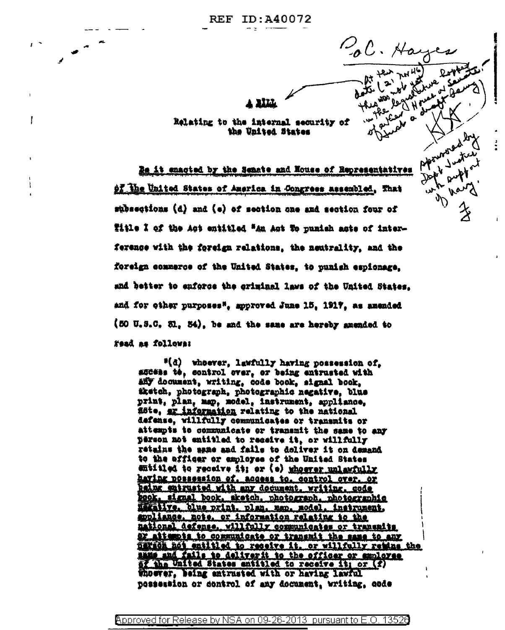To C. Hay

 $\mathbf{a}$ 

Aponeire

**BILL** 

Relating to the internal security of the United States

ľ

Be it enacted by the Senate and Nouse of Representatives of the United States of America in Congress assembled. That subsections (d) and (e) of section one and section four of fitle I of the Act entitled "An Act To punish acts of interference with the foreign relations, the neutrality, and the foreign commerce of the United States, to punish espionage. and better to enforce the criminal laws of the United States. and for other purposes", approved June 15, 1917, as amended (50 U.S.C. Sl. 54), be and the same are hereby amended to read as follows:

"(d) whoever, lawfully having possession of, addess te, control over, or being entrusted with any document, writing, code book, signal book, iketch, photograph, photographic negative, blue print, plan, map, model, instrument, appliance, ficte, er information relating to the national defense, willfully communicates or transmits or attempts to communicate or transmit the same to any person not entitled to receive it, or willfally retains the same and fails to doliver it on demand to the afficer or employee of the United States entitled to receive it; or (e) whoever unlawfully having possession of, access to, control over, or haing entrusted with any document, writing, code book, signal book, aketch, photograph, photographic maxative, blue print, plan, map, model, instrument, <u>appliance, note, or information relating to the </u> national defense, willfully communicates or transmits ay attempts to communicate or transmit the same to any <u>nariča hot entitled to receive it, or willfully retine the</u> mans and fails to deliverit to the officer or amployse the United States entitled to receive it; or (f) Whoever, being entrusted with or having lawful possession or control of any document, writing, code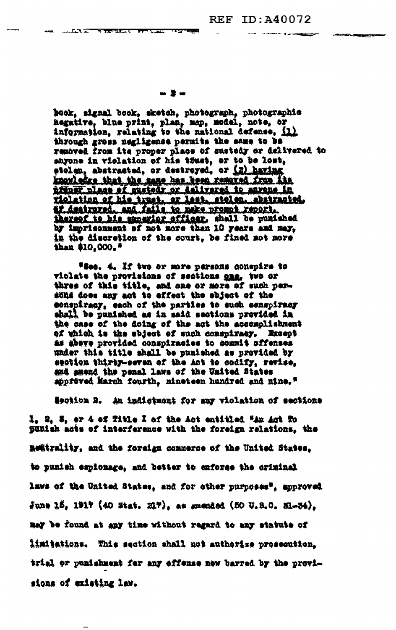## - 2-

**The Contract of Contract of Contract of Contract of Contract of Contract of Contract of Contract of Contract of Contract of Contract of Contract of Contract of Contract of Contract of Contract of Contract of Contract of C** 

<u>in a component province</u>

hook, signal book, sketch, photograph, photographic negative, blue print, plan, map, model, note, or information, relating to the national defense, (1) through gross negligence permits the same to be removed from its proper place of sustedy or delivered to anyone in violation of his toust, or to be lost, stolen, abstracted, or destroyed, or (2) having knowledge that the same has been removed from its prener place of quetedy or delivered to anyone in rielation ef his trust, er lest, stelen, abstracted, ar destroyed, and fails to make prompt report. thereof to his superior officer, shall be punished by imprisonment of not more than 10 years and may, in the discretion of the court, be fined not more than \$10,000."

Wiec. 4. If two or more parsons conspire to violate the provisions of sections one, two or three of this title, and one or more of such persons does any act to effect the object of the conspiracy, each of the parties to such conspiracy shall be punished as in said sections provided in the case of the doing of the act the accomplishment of which is the object of such conspiracy. Except as abeve provided conspiracies to commit offenses under this title shall be punished as provided by section thirty-seven of the Act to codify, revise, and amend the penal laws of the United States approved March fourth, nineteen hundred and nine."

Section 3. An indictment for any violation of sections

1, 2, 3, er 4 ef Title I of the Act entitled "An Act To Bunish acts of interference with the foreign relations, the mentrality, and the foreign commerce of the United States. to punish espionage, and better to enforce the criminal laws of the United States, and for other purposes", approved  $\frac{2}{3}$ une 15, 1917 (40 Stat. 217), as smended (50 U.S.C. 31-34). nay be found at any time without regard to any statute of limitations. This section shall not authorize prosecution. trial or punishment for any offense now barred by the provisions of existing law.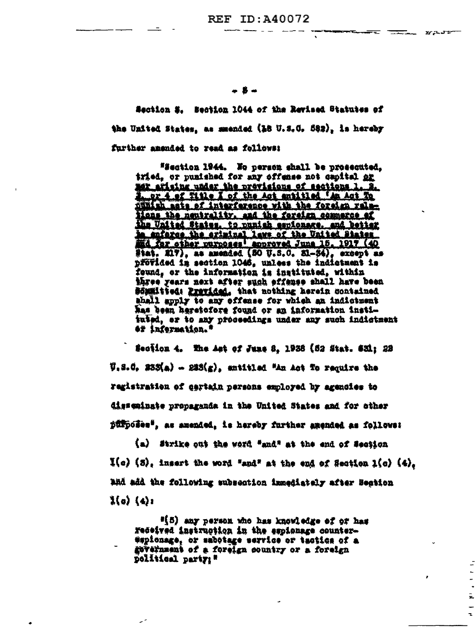<del>stant till</del> mast

 $\overline{a}$ 

Ē,

\* **B** \*

Section E. Section 1044 of the Revised Statutes of the United States, as meended (18 U.S.C. 582), is hereby further anended to read as follows:

"Section 1944. No person shall be prosecuted, iried, or punished for any offense not capital or mor afising under the provisions of sections 1. 2. 1, or 4 of Title I of the Act antitled 'An Act To punish asts of interference with the foreign raletions the neutrality, and the foreign commerce of the United States, to punish espionare, and better In enforce the criminal laws of the United States.<br>And for other purposes approved June 15, 1917 (40<br>Stat, 217), as amended (50 U.S.C. 31-34), except as přövided in section 1046, unless the indictment is found, or the information is instituted, within Miree years next after such effense shall have been *Börmitied: Previded, that nothing herein contained* shall spply to any offense for which an indictment has been heretofore found or an information instituted, er to any proceedings under any such indictment 47 information."

Seciion 4. The Ast of June 8, 1938 (52 Stat. 631; 22  $\overline{y}_1$ S.C. 233(a) - 233(g), entitled "An Act To require the registration of gertain persons employed by agencies to disseminate propaganda in the United States and for other púfposee", as amended, is hereby further amended as follows:

(a) Strike out the word "and" at the end of Section  $I(a)$  (3), insert the word "and" at the end of Section  $I(a)$  (4). and add the following subsection innediately after Section  $\frac{1}{2}(\alpha)$   $(4)$ :

"[5] any person who has knowledge of or has Fedeived instruction in the espionage counter-#spicnage, or sabotage service or tactics of a government of a foreign country or a foreign political party:"

مبر

×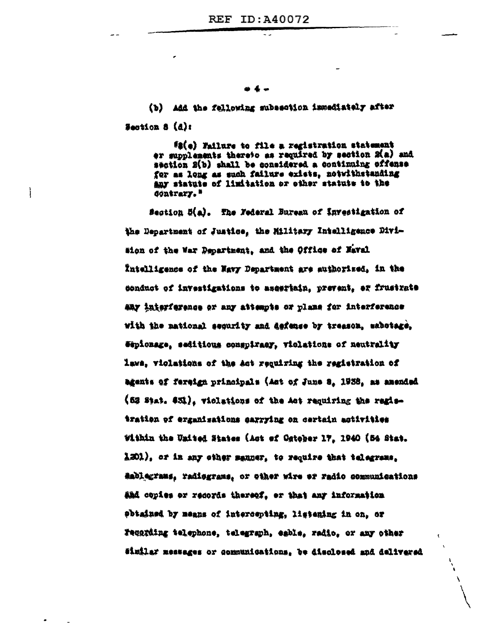\* 4 +

(b) Add the following subsection immediately after Section 8 (d):

ì

(2(e) Failure to file a registration statement er supplements thereto as required by section 2(a) and section 2(b) shall be considered a continuing offense for as long as such failure exists, notwithstanding any statute of limitation or other statute to the **Contrary."** 

Sestion 5(a). The Federal Bureau of Investigation of the Department of Justice, the Military Intelligence Division of the War Department, and the Office of Naval Intelligence of the Navy Department are authorized, in the conduct of investigations to assertain, prevent, er frustrate aay interference or any attempts or plans for interference with the mational security and defense by treason, sabotage. Sepionage, seditious conspiracy, violations of neutrality laws, violations of the act requiring the registration of agents of fereign principals (Ast of June 8, 1938, as amended (52 Stat. \$31), violations of the Act requiring the regisiration of erganisations carrying on certain activities Within the United States (Act of October 17, 1940 (54 Stat. 1201), or in any sther sauner, to require that telegrams. Rablegrams, radiograms, or other wire or radio communications and copies or records thereof, or that any information obtained by means of intercepting, listening in on, or Fecarding telephone, telegraph, eable, radio, or any other Similar messages or communications. be disclosed and delivered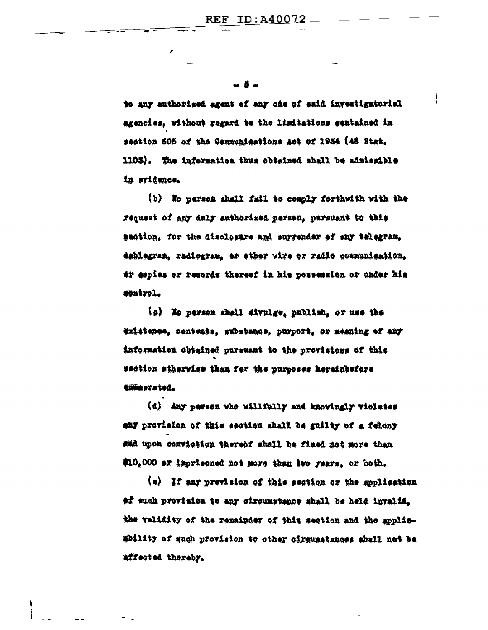n 11

to any anthorized agent of any one of said investigatorial agencies, without regard to the limitations contained in section 505 of the Communications Act of 1934 (48 Stat. 1103). The information thus obtained shall be admissible in evidence.

(b) No person shall fail to comply forthwith with the request of any duly authorized person, pursuant to this saction, for the disclosure and surrender of any telegram. eshlegran, radiogram, er ether wire or radio gommunication, ar gopies or regords thereof in his possession or under his #öntrol.

(g) Me person shall divulge, publish, or use the existence, contents, substance, purport, or meaning of any information obtained pursuant to the provisions of this section ciherwise than for the purposes hereinbefore Cimmerated.

(d) Any parson who willfully and knowingly violates any provision of this section shall be guilty of a felony and upon conviction thereof shall be fined not more than \$10,000 or imprisoned not more than two years, or both.

 $\{a\}$  If any prevision of this section or the soplication of such provision to any circumstance shall be held invalid. the validity of the remainder of this section and the applieability of such provision to other cirgumstances shall not be affected thereby.

١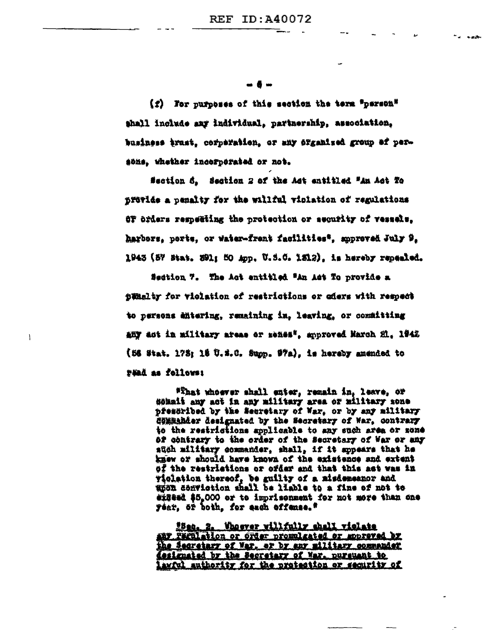-6-

 $(z)$  . For purposes of this section the term "parson" shall include any individual, partnership, association, business trust, corperation, or any erganized group of persons, whether incorporated or not.

Section 6. Section 2 of the Act entitled "An Act To provide a penalty for the willful violation of regulations OF orders respecting the protection or security of vessels. harbors, ports, or water-frent facilities", approved July 9, 1943 (57 Btat. 391; 50 App. U.S.O. 1312), is hereby repealed.

Section 7. The Act entitled "An Act To provide a timelty for violation of restrictions or eders with respect to persons entering, remaining in, leaving, or committing any act in military areas or menes", approved March 21, 1942 (56 Stat. 175; 18 U.S.C. Supp. 97a), is hereby amended to Fääd as follows:

f,

"That whoever shall enter, remain in, leave, or donait any act in any military area or military sone preseribed by the Secretary of Nar, or by any military Sommander designated by the Secretary of War, contrary to the restrictions applicable to any such area or sone of contrary to the order of the Secretary of War or any such military commander, shall, if it supears that he knew or should have known of the existence and extent of the restrictions or ofder and that this act was in violation thereof, be guilty of a misdemeanor and unon conviction shall be liable to a fine of not to eigead \$5.000 or to imprisonment for not more than one féar, ór boin, for eagh offense.#

Ban. 2. Whoever willfully shall violate any Farulation or Order promulgated or moppeyed by the Sacretary of War, or by any military commander designated by the Secretary of War, pursuant to lawful authority for the protection or security of